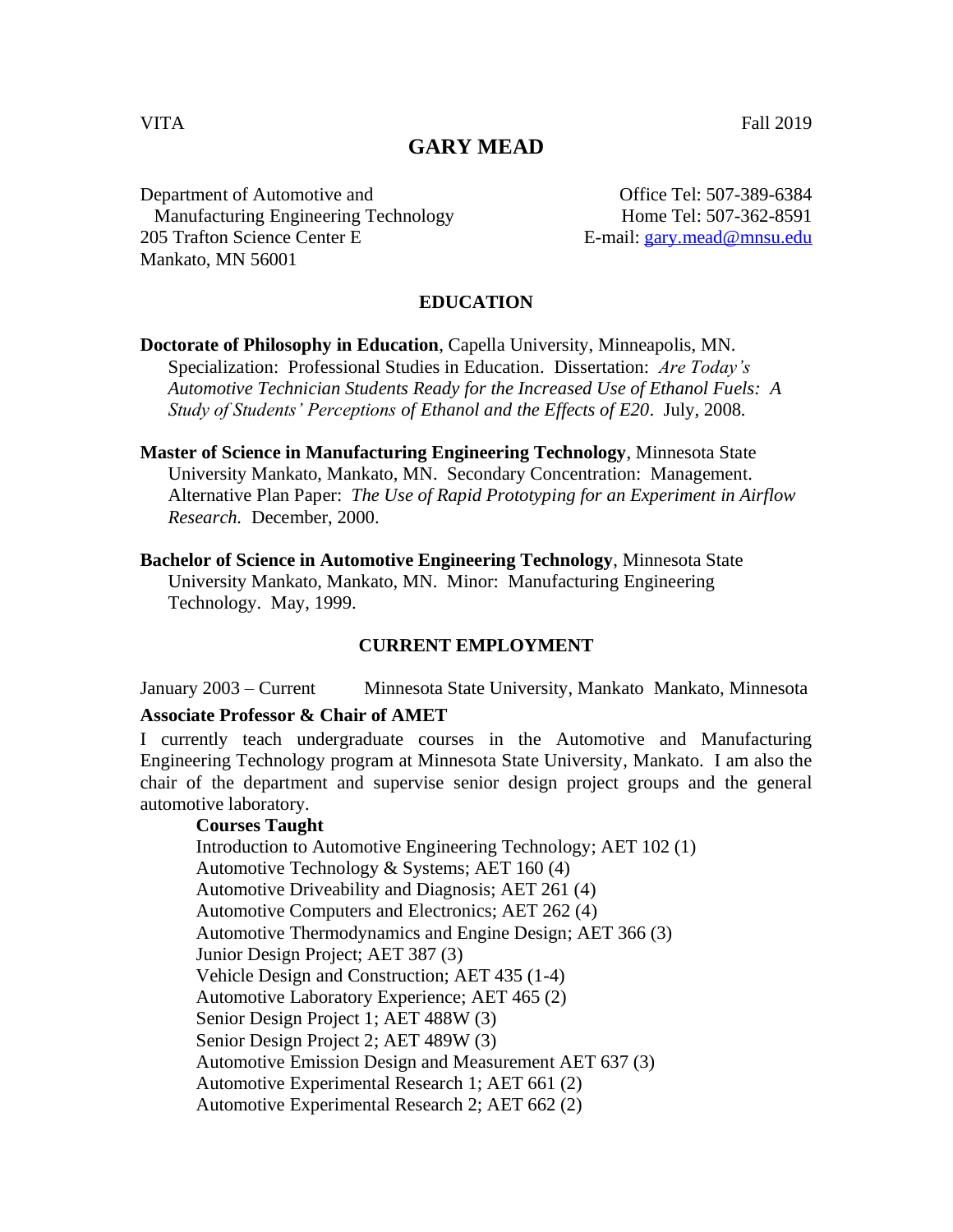# **GARY MEAD**

Department of Automotive and Manufacturing Engineering Technology 205 Trafton Science Center E Mankato, MN 56001

Office Tel: 507-389-6384 Home Tel: 507-362-8591 E-mail: [gary.mead@mnsu.edu](mailto:gary.mead@mnsu.edu)

# **EDUCATION**

**Doctorate of Philosophy in Education**, Capella University, Minneapolis, MN. Specialization: Professional Studies in Education. Dissertation: *Are Today's Automotive Technician Students Ready for the Increased Use of Ethanol Fuels: A Study of Students' Perceptions of Ethanol and the Effects of E20*. July, 2008*.*

**Master of Science in Manufacturing Engineering Technology**, Minnesota State University Mankato, Mankato, MN. Secondary Concentration: Management. Alternative Plan Paper: *The Use of Rapid Prototyping for an Experiment in Airflow Research.* December, 2000.

**Bachelor of Science in Automotive Engineering Technology**, Minnesota State University Mankato, Mankato, MN. Minor: Manufacturing Engineering Technology. May, 1999.

# **CURRENT EMPLOYMENT**

January 2003 – Current Minnesota State University, Mankato Mankato, Minnesota **Associate Professor & Chair of AMET**

I currently teach undergraduate courses in the Automotive and Manufacturing Engineering Technology program at Minnesota State University, Mankato. I am also the chair of the department and supervise senior design project groups and the general automotive laboratory.

## **Courses Taught**

Introduction to Automotive Engineering Technology; AET 102 (1) Automotive Technology & Systems; AET 160 (4) Automotive Driveability and Diagnosis; AET 261 (4) Automotive Computers and Electronics; AET 262 (4) Automotive Thermodynamics and Engine Design; AET 366 (3) Junior Design Project; AET 387 (3) Vehicle Design and Construction; AET 435 (1-4) Automotive Laboratory Experience; AET 465 (2) Senior Design Project 1; AET 488W (3) Senior Design Project 2; AET 489W (3) Automotive Emission Design and Measurement AET 637 (3) Automotive Experimental Research 1; AET 661 (2) Automotive Experimental Research 2; AET 662 (2)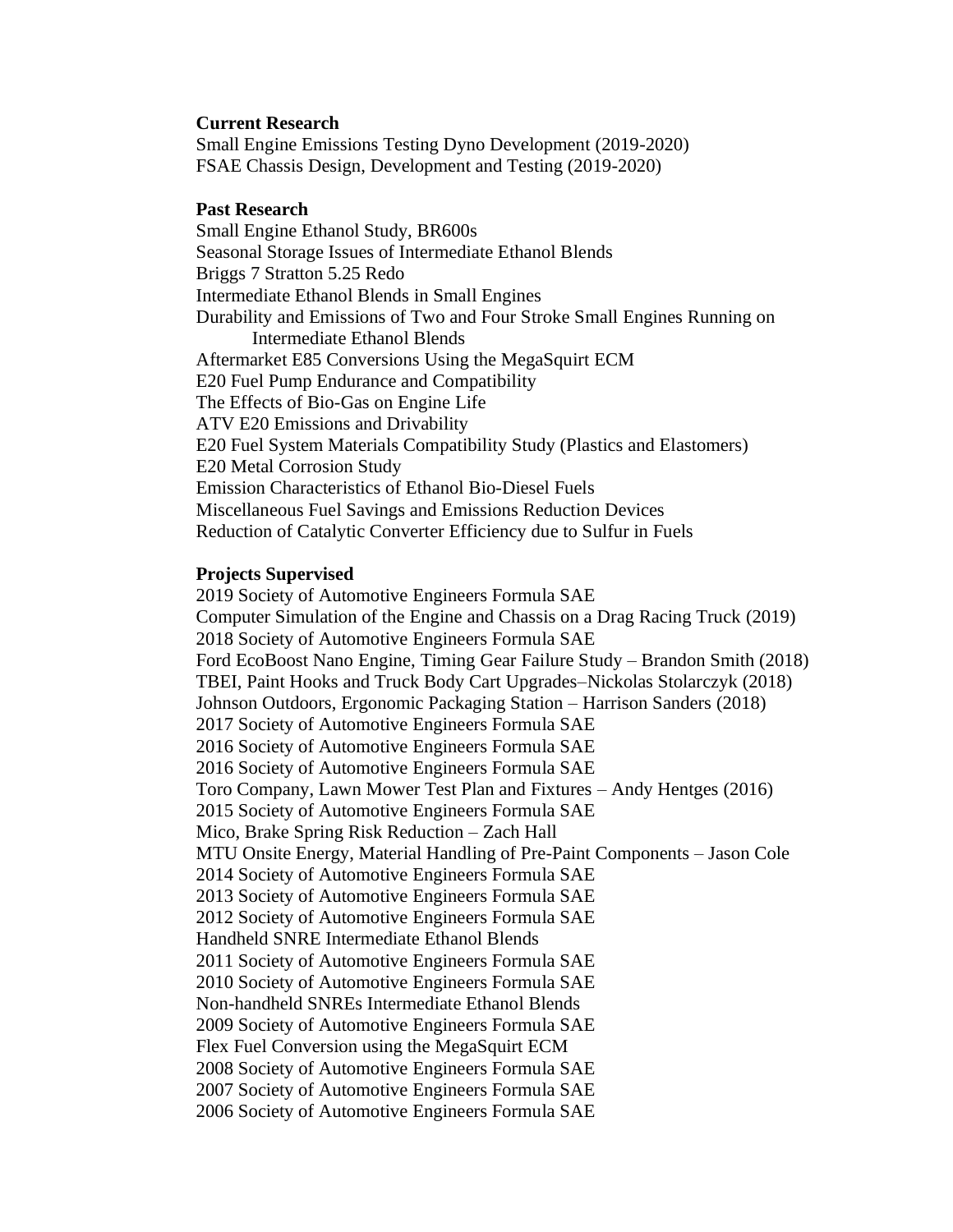# **Current Research**

Small Engine Emissions Testing Dyno Development (2019-2020) FSAE Chassis Design, Development and Testing (2019-2020)

## **Past Research**

Small Engine Ethanol Study, BR600s Seasonal Storage Issues of Intermediate Ethanol Blends Briggs 7 Stratton 5.25 Redo Intermediate Ethanol Blends in Small Engines Durability and Emissions of Two and Four Stroke Small Engines Running on Intermediate Ethanol Blends Aftermarket E85 Conversions Using the MegaSquirt ECM E20 Fuel Pump Endurance and Compatibility The Effects of Bio-Gas on Engine Life ATV E20 Emissions and Drivability E20 Fuel System Materials Compatibility Study (Plastics and Elastomers) E20 Metal Corrosion Study Emission Characteristics of Ethanol Bio-Diesel Fuels Miscellaneous Fuel Savings and Emissions Reduction Devices Reduction of Catalytic Converter Efficiency due to Sulfur in Fuels

#### **Projects Supervised**

2019 Society of Automotive Engineers Formula SAE Computer Simulation of the Engine and Chassis on a Drag Racing Truck (2019) 2018 Society of Automotive Engineers Formula SAE Ford EcoBoost Nano Engine, Timing Gear Failure Study – Brandon Smith (2018) TBEI, Paint Hooks and Truck Body Cart Upgrades–Nickolas Stolarczyk (2018) Johnson Outdoors, Ergonomic Packaging Station – Harrison Sanders (2018) 2017 Society of Automotive Engineers Formula SAE 2016 Society of Automotive Engineers Formula SAE 2016 Society of Automotive Engineers Formula SAE Toro Company, Lawn Mower Test Plan and Fixtures – Andy Hentges (2016) 2015 Society of Automotive Engineers Formula SAE Mico, Brake Spring Risk Reduction – Zach Hall MTU Onsite Energy, Material Handling of Pre-Paint Components – Jason Cole 2014 Society of Automotive Engineers Formula SAE 2013 Society of Automotive Engineers Formula SAE 2012 Society of Automotive Engineers Formula SAE Handheld SNRE Intermediate Ethanol Blends 2011 Society of Automotive Engineers Formula SAE 2010 Society of Automotive Engineers Formula SAE Non-handheld SNREs Intermediate Ethanol Blends 2009 Society of Automotive Engineers Formula SAE Flex Fuel Conversion using the MegaSquirt ECM 2008 Society of Automotive Engineers Formula SAE 2007 Society of Automotive Engineers Formula SAE 2006 Society of Automotive Engineers Formula SAE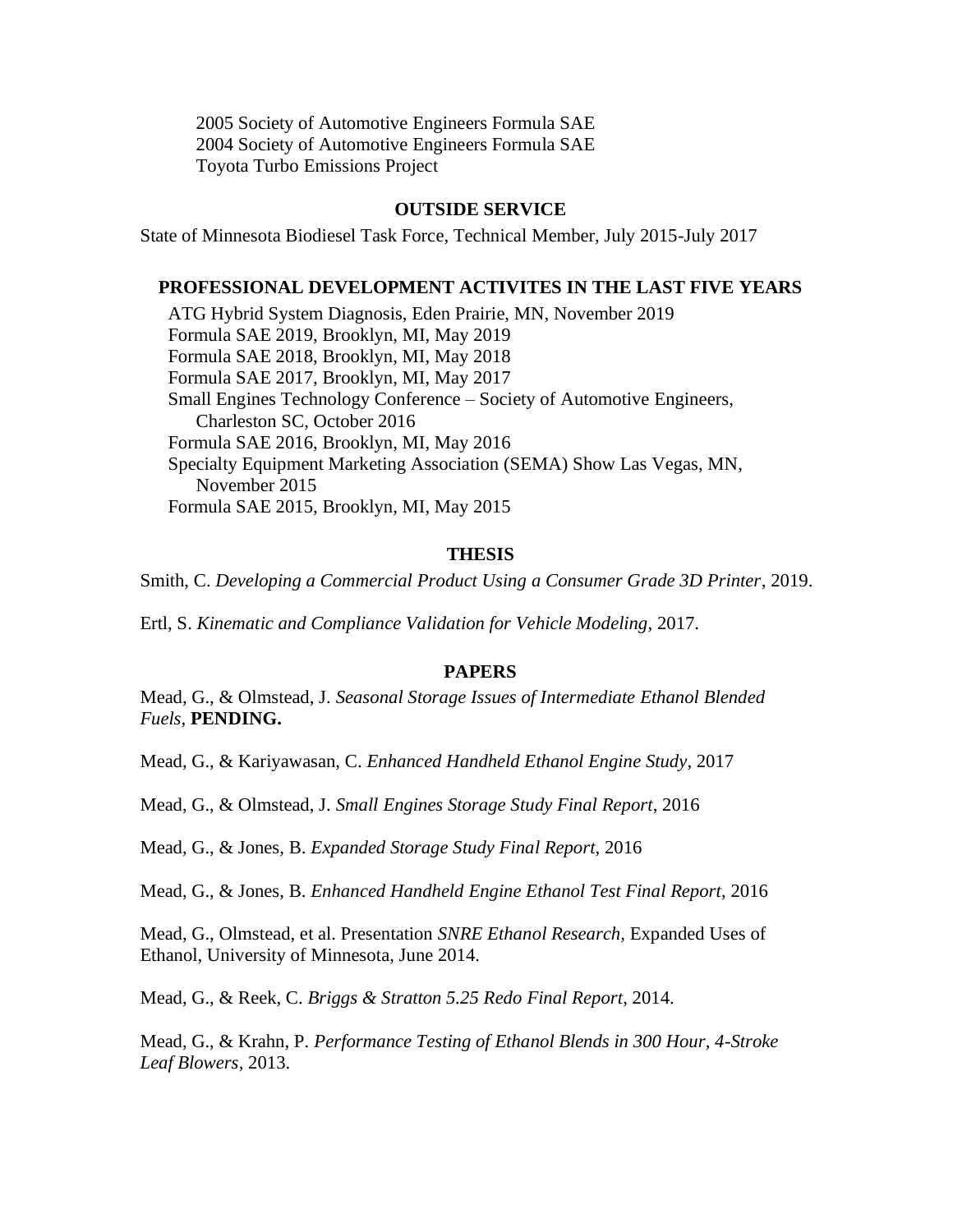2005 Society of Automotive Engineers Formula SAE 2004 Society of Automotive Engineers Formula SAE Toyota Turbo Emissions Project

#### **OUTSIDE SERVICE**

State of Minnesota Biodiesel Task Force, Technical Member, July 2015-July 2017

# **PROFESSIONAL DEVELOPMENT ACTIVITES IN THE LAST FIVE YEARS**

ATG Hybrid System Diagnosis, Eden Prairie, MN, November 2019 Formula SAE 2019, Brooklyn, MI, May 2019 Formula SAE 2018, Brooklyn, MI, May 2018 Formula SAE 2017, Brooklyn, MI, May 2017 Small Engines Technology Conference – Society of Automotive Engineers, Charleston SC, October 2016 Formula SAE 2016, Brooklyn, MI, May 2016 Specialty Equipment Marketing Association (SEMA) Show Las Vegas, MN, November 2015 Formula SAE 2015, Brooklyn, MI, May 2015

### **THESIS**

Smith, C. *Developing a Commercial Product Using a Consumer Grade 3D Printer*, 2019.

Ertl, S. *Kinematic and Compliance Validation for Vehicle Modeling*, 2017.

## **PAPERS**

Mead, G., & Olmstead, J. *Seasonal Storage Issues of Intermediate Ethanol Blended Fuels*, **PENDING.**

Mead, G., & Kariyawasan, C. *Enhanced Handheld Ethanol Engine Study*, 2017

Mead, G., & Olmstead, J. *Small Engines Storage Study Final Report*, 2016

Mead, G., & Jones, B. *Expanded Storage Study Final Report*, 2016

Mead, G., & Jones, B. *Enhanced Handheld Engine Ethanol Test Final Report*, 2016

Mead, G., Olmstead, et al. Presentation *SNRE Ethanol Research,* Expanded Uses of Ethanol, University of Minnesota, June 2014.

Mead, G., & Reek, C. *Briggs & Stratton 5.25 Redo Final Report*, 2014.

Mead, G., & Krahn, P. *Performance Testing of Ethanol Blends in 300 Hour, 4-Stroke Leaf Blowers,* 2013.